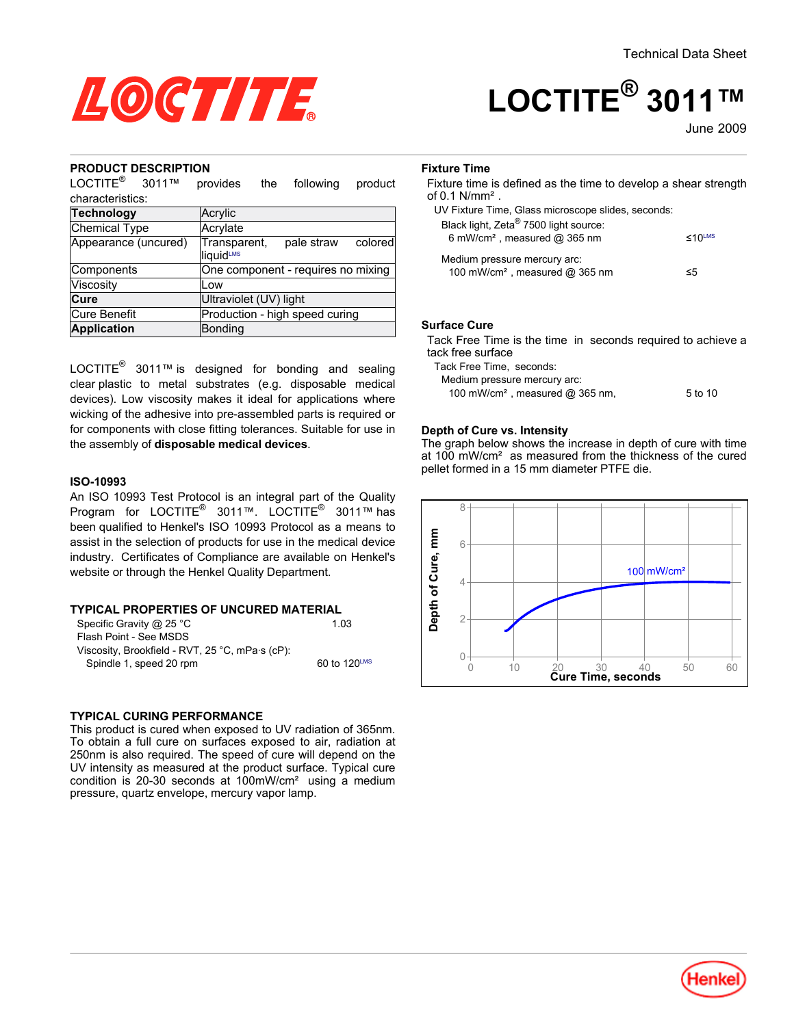

# **LOCTITE® 3011™**

June-2009

#### **PRODUCT DESCRIPTION**

LOCTITE<sup>®</sup> 3011™ provides the following product

| characteristics:     |                                                            |  |  |  |
|----------------------|------------------------------------------------------------|--|--|--|
| Technology           | Acrylic                                                    |  |  |  |
| <b>Chemical Type</b> | Acrylate                                                   |  |  |  |
| Appearance (uncured) | Transparent,<br>pale straw<br>colored<br><b>liquid</b> LMS |  |  |  |
| Components           | One component - requires no mixing                         |  |  |  |
| Viscosity            | Low                                                        |  |  |  |
| Cure                 | Ultraviolet (UV) light                                     |  |  |  |
| <b>Cure Benefit</b>  | Production - high speed curing                             |  |  |  |
| <b>Application</b>   | <b>Bonding</b>                                             |  |  |  |

LOCTITE<sup>®</sup> 3011™ is designed for bonding and sealing clear plastic to metal substrates (e.g. disposable medical devices). Low viscosity makes it ideal for applications where wicking of the adhesive into pre-assembled parts is required or for components with close fitting tolerances. Suitable for use in the assembly of **disposable medical devices**.

## **ISO-10993**

An ISO 10993 Test Protocol is an integral part of the Quality Program for LOCTITE® 3011™. LOCTITE® 3011™ has been qualified to Henkel's ISO 10993 Protocol as a means to assist in the selection of products for use in the medical device industry. Certificates of Compliance are available on Henkel's website or through the Henkel Quality Department.

## **TYPICAL PROPERTIES OF UNCURED MATERIAL**

| Specific Gravity @ 25 $^{\circ}$ C              | 1 0 3        |
|-------------------------------------------------|--------------|
| Flash Point - See MSDS                          |              |
| Viscosity, Brookfield - RVT, 25 °C, mPa·s (cP): |              |
| Spindle 1, speed 20 rpm                         | 60 to 120LMS |

#### **TYPICAL CURING PERFORMANCE**

This product is cured when exposed to UV radiation of 365nm. To obtain a full cure on surfaces exposed to air, radiation at 250nm is also required. The speed of cure will depend on the UV intensity as measured at the product surface. Typical cure condition is 20-30 seconds at 100mW/cm² using a medium pressure, quartz envelope, mercury vapor lamp.

#### **Fixture Time**

Fixture time is defined as the time to develop a shear strength of 0.1 N/mm².

| ≤10 <sup>LMS</sup> |
|--------------------|
|                    |
| ≤5                 |
|                    |

#### **Surface Cure**

Tack Free Time is the time in seconds required to achieve a tack free surface

Tack Free Time, seconds: Medium pressure mercury arc: 100 mW/cm<sup>2</sup>, measured @ 365 nm, 5 to 10

#### **Depth of Cure vs. Intensity**

The graph below shows the increase in depth of cure with time at 100 mW/cm² as measured from the thickness of the cured pellet formed in a 15 mm diameter PTFE die.



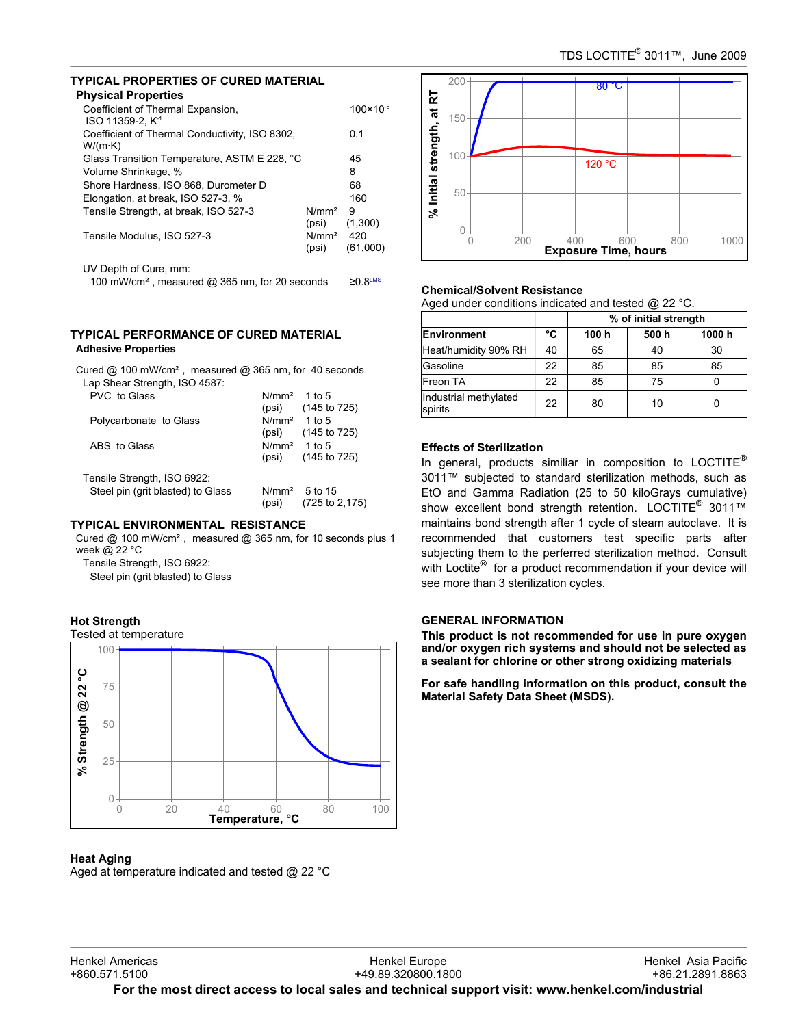# **TYPICAL PROPERTIES OF CURED MATERIAL**

| <b>Physical Properties</b>                                        |                            |                      |
|-------------------------------------------------------------------|----------------------------|----------------------|
| Coefficient of Thermal Expansion,<br>ISO 11359-2, K <sup>.1</sup> |                            | $100 \times 10^{-6}$ |
| Coefficient of Thermal Conductivity, ISO 8302,<br>$W/(m \cdot K)$ |                            | 0.1                  |
| Glass Transition Temperature, ASTM E 228, °C                      |                            | 45                   |
| Volume Shrinkage, %                                               |                            | 8                    |
| Shore Hardness, ISO 868, Durometer D                              |                            | 68                   |
| Elongation, at break, ISO 527-3, %                                |                            | 160                  |
| Tensile Strength, at break, ISO 527-3                             | N/mm <sup>2</sup><br>(psi) | 9<br>(1,300)         |
| Tensile Modulus, ISO 527-3                                        | N/mm <sup>2</sup><br>(psi) | 420<br>(61,000)      |
| UV Depth of Cure, mm:                                             |                            |                      |
| 100 mW/cm <sup>2</sup> , measured $@365$ nm, for 20 seconds       |                            | $\geq$ 0.8LMS        |

# **TYPICAL PERFORMANCE OF CURED MATERIAL**

# **Adhesive Properties**

| Cured $@$ 100 mW/cm <sup>2</sup> , measured $@$ 365 nm, for 40 seconds |                   |                            |  |
|------------------------------------------------------------------------|-------------------|----------------------------|--|
| Lap Shear Strength, ISO 4587:                                          |                   |                            |  |
| PVC to Glass                                                           | N/mm <sup>2</sup> | 1 to 5                     |  |
|                                                                        |                   | $(psi)$ $(145 to 725)$     |  |
| Polycarbonate to Glass                                                 | N/mm <sup>2</sup> | 1 to 5                     |  |
|                                                                        | (psi)             | $(145 \text{ to } 725)$    |  |
| ABS to Glass                                                           | $N/mm2$ 1 to 5    |                            |  |
|                                                                        | (psi)             | (145 to 725)               |  |
| Tensile Strength, ISO 6922:                                            |                   |                            |  |
| Steel pin (grit blasted) to Glass                                      | N/mm <sup>2</sup> | .5 to 15                   |  |
|                                                                        | (psi)             | $(725 \text{ to } 2, 175)$ |  |
|                                                                        |                   |                            |  |

# **TYPICAL ENVIRONMENTAL RESISTANCE**

Cured @ 100 mW/cm², measured @ 365 nm, for 10 seconds plus 1 week @ 22 °C

Tensile Strength, ISO 6922: Steel pin (grit blasted) to Glass

# **Hot Strength**



# **Heat Aging**

Aged at temperature indicated and tested @ 22 °C



# **Chemical/Solvent Resistance**

Aged under conditions indicated and tested @ 22 °C.

|                                  |    | % of initial strength |       |        |
|----------------------------------|----|-----------------------|-------|--------|
| Environment                      | °C | 100 h                 | 500 h | 1000 h |
| Heat/humidity 90% RH             | 40 | 65                    | 40    | 30     |
| Gasoline                         | 22 | 85                    | 85    | 85     |
| Freon TA                         | 22 | 85                    | 75    |        |
| Industrial methylated<br>spirits | 22 | 80                    | 10    |        |

# **Effects of Sterilization**

In general, products similiar in composition to  $LOCTITE^{\odot}$ 3011™ subjected to standard sterilization methods, such as EtO and Gamma Radiation (25 to 50 kiloGrays cumulative) show excellent bond strength retention. LOCTITE<sup>®</sup> 3011™ maintains bond strength after 1 cycle of steam autoclave. It is recommended that customers test specific parts after subjecting them to the perferred sterilization method. Consult with Loctite<sup>®</sup> for a product recommendation if your device will see more than 3 sterilization cycles.

# **GENERAL INFORMATION**

**This product is not recommended for use in pure oxygen and/or oxygen rich systems and should not be selected as a sealant for chlorine or other strong oxidizing materials**

**For safe handling information on this product, consult the Material Safety Data Sheet (MSDS).**